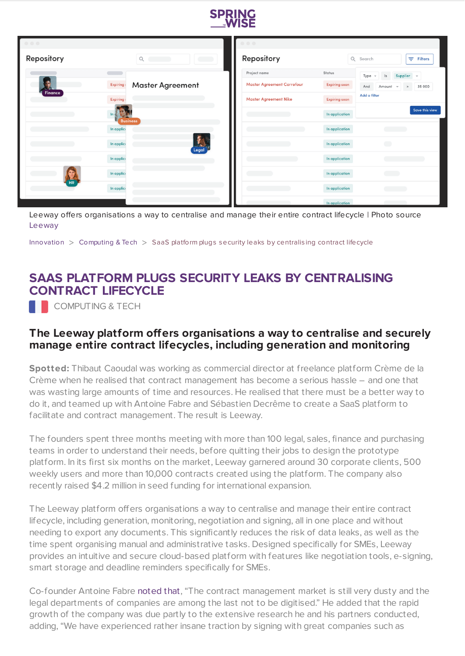

| $\begin{array}{ccc} \circ & \circ & \circ \end{array}$ |                                                                  | $\begin{array}{ccc} \circ & \circ & \circ \end{array}$ |                      |                                                       |
|--------------------------------------------------------|------------------------------------------------------------------|--------------------------------------------------------|----------------------|-------------------------------------------------------|
| Repository                                             | $\mathsf{Q}$<br>$\overline{\phantom{a}}$<br>$\sim$ $\sim$ $\sim$ | Repository                                             |                      | Q Search<br>$\equiv$ Filters                          |
|                                                        |                                                                  | Project name                                           | Status               | Type<br>Supplier -<br> s <br>$\overline{\phantom{a}}$ |
| Expiring                                               | <b>Master Agreement</b>                                          | <b>Master Agreement Carrefour</b>                      | <b>Expiring soon</b> | And<br>Amount<br>35 000<br>$\, >$<br>$\;$             |
| Finance<br>Expiring                                    |                                                                  | <b>Master Agreement Nike</b>                           | <b>Expiring soon</b> | Add a filter                                          |
| $\frac{1}{2}$                                          | <b>Business</b>                                                  |                                                        | In application       | <b>Save this view</b>                                 |
| In applice                                             |                                                                  |                                                        | In application       | <b>Contract Contract</b>                              |
| In applice                                             | $\mathbf{f}_{\mathbf{a}}$<br>Legal                               |                                                        | In application       | $\bigcirc$                                            |
| In applice                                             |                                                                  |                                                        | In application       |                                                       |
| In applice                                             |                                                                  | <b>Contract Contract Contract</b>                      | In application       | <b>Contract</b>                                       |
| <b>HR</b><br>In applice                                |                                                                  |                                                        | In application       | <b>Communication</b>                                  |
|                                                        |                                                                  |                                                        | In application       | <b>Contract Contract Contract</b>                     |

Leeway offers organisations a way to centralise and manage their entire contract lifecycle | Photo source [Leeway](https://getleeway.com/en/smart-storage)

[Innovation](https://www.springwise.com/search?type=innovation) > [Computing](https://www.springwise.com/search?type=innovation§or=computing) & Tech > SaaS platform plugs security leaks by centralis ing contract lifecycle

## **SAAS PLATFORM PLUGS SECURITY LEAKS BY CENTRALISING CONTRACT LIFECYCLE**

**COMPUTING & TECH** 

## **The Leeway platform offers organisations a way to centralise and securely manage entire contract lifecycles, including generation and monitoring**

**Spotted:** Thibaut Caoudal was working as commercial director at freelance platform Crème de la Crème when he realised that contract management has become a serious hassle – and one that was wasting large amounts of time and resources. He realised that there must be a better way to do it, and teamed up with Antoine Fabre and Sébastien Decrême to create a SaaS platform to facilitate and contract management. The result is Leeway.

The founders spent three months meeting with more than 100 legal, sales, finance and purchasing teams in order to understand their needs, before quitting their jobs to design the prototype platform. In its first six months on the market, Leeway garnered around 30 corporate clients, 500 weekly users and more than 10,000 contracts created using the platform. The company also recently raised \$4.2 million in seed funding for international expansion.

The Leeway platform offers organisations a way to centralise and manage their entire contract lifecycle, including generation, monitoring, negotiation and signing, all in one place and without needing to export any documents. This significantly reduces the risk of data leaks, as well as the time spent organising manual and administrative tasks. Designed specifically for SMEs, Leeway provides an intuitive and secure cloud-based platform with features like negotiation tools, e-signing, smart storage and deadline reminders specifically for SMEs.

Co-founder Antoine Fabre [noted](https://tech.eu/brief/paris-based-contract-management-software-provider-leeway-raises-4-2-million-in-seed-round/) that, "The contract management market is still very dusty and the legal departments of companies are among the last not to be digitised." He added that the rapid growth of the company was due partly to the extensive research he and his partners conducted, adding, "We have experienced rather insane traction by signing with great companies such as